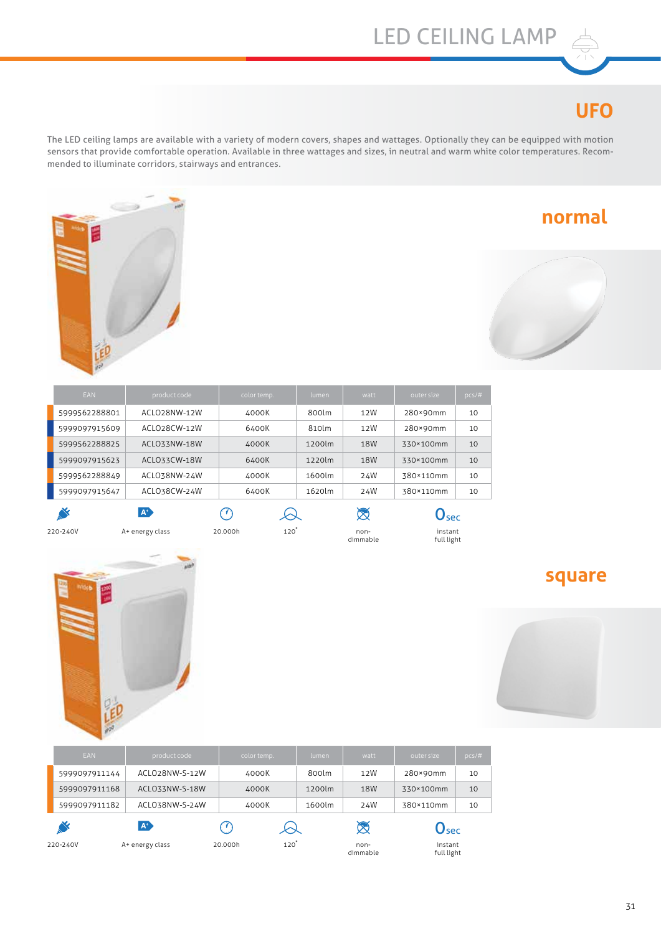## LED CEILING LAMP

## **UFO**

The LED ceiling lamps are available with a variety of modern covers, shapes and wattages. Optionally they can be equipped with motion sensors that provide comfortable operation. Available in three wattages and sizes, in neutral and warm white color temperatures. Recommended to illuminate corridors, stairways and entrances.



| of the contract of the contract of | <b>Contract</b> |
|------------------------------------|-----------------|

**normal**

| <b>EAN</b>    | product code | color temp. | lumen. | watt | outer size | $pcs/\#$ |
|---------------|--------------|-------------|--------|------|------------|----------|
| 5999562288801 | ACLO28NW-12W | 4000K       | 800lm  | 12W  | 280×90mm   | 10       |
| 5999097915609 | ACLO28CW-12W | 6400K       | 810lm  | 12W  | 280×90mm   | 10       |
| 5999562288825 | ACLO33NW-18W | 4000K       | 1200lm | 18W  | 330×100mm  | 10       |
| 5999097915623 | ACLO33CW-18W | 6400K       | 1220lm | 18W  | 330×100mm  | 10       |
| 5999562288849 | ACLO38NW-24W | 4000K       | 1600lm | 24W  | 380×110mm  | 10       |
| 5999097915647 | ACLO38CW-24W | 6400K       | 1620lm | 24W  | 380×110mm  | 10       |
|               | $A^+$        |             |        |      | lsec       |          |



A+ energy class non-220-240V 20.000h 120�

non-<br>dimmable

0sec instant full light



| <b>EAN</b>    | product code    | color temp.                | lumen  | watt             | outer size                  | $pcs/\#$ |
|---------------|-----------------|----------------------------|--------|------------------|-----------------------------|----------|
| 5999097911144 | ACLO28NW-S-12W  | 4000K                      | 800lm  | 12W              | 280×90mm                    | 10       |
| 5999097911168 | ACLO33NW-S-18W  | 4000K                      | 1200lm | 18W              | 330×100mm                   | 10       |
| 5999097911182 | ACLO38NW-S-24W  | 4000K                      | 1600lm | 24W              | 380×110mm                   | 10       |
|               | $A^*$           | 89                         |        | ╳                | $\mathbf{O}_{\mathbf{sec}}$ |          |
| 220-240V      | A+ energy class | $120^{\degree}$<br>20.000h |        | non-<br>dimmable | instant<br>full light       |          |

#### **square**

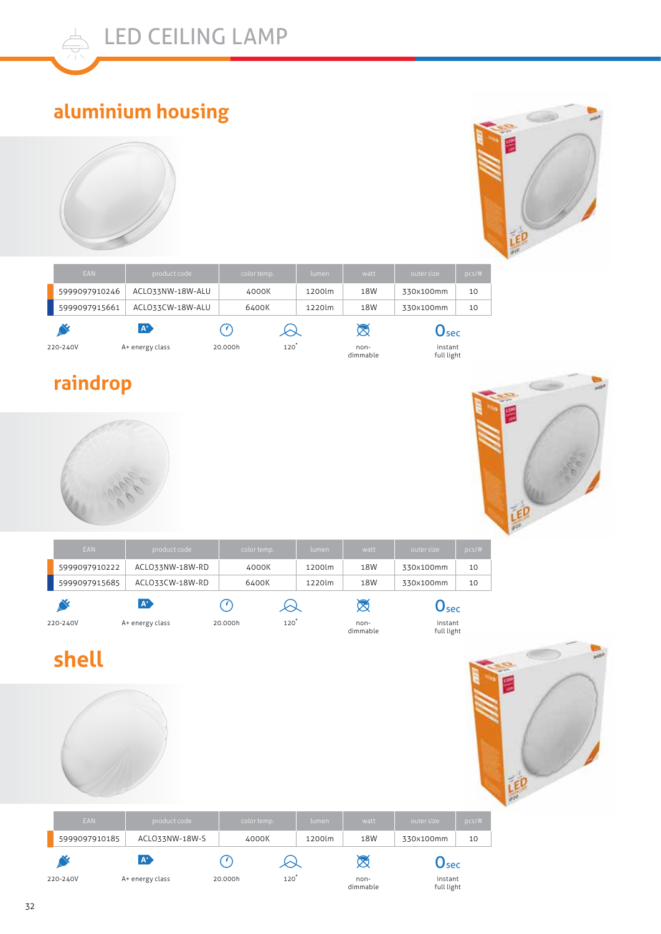

## **aluminium housing**





## **raindrop**





LED

| <b>EAN</b>    | product code    | color temp. | lumen  | watt | outer size | $pcs/\#$ |
|---------------|-----------------|-------------|--------|------|------------|----------|
| 5999097910222 | ACLO33NW-18W-RD | 4000K       | 1200lm | 18W  | 330x100mm  | 10       |
| 5999097915685 | ACLO33CW-18W-RD | 6400K       | 1220lm | 18W  | 330x100mm  | 10       |
|               | $A^+$           |             |        |      | Isec       |          |

dimmable

instant full light

A+ energy class non-220-240V 20.000h 120�

# **shell**



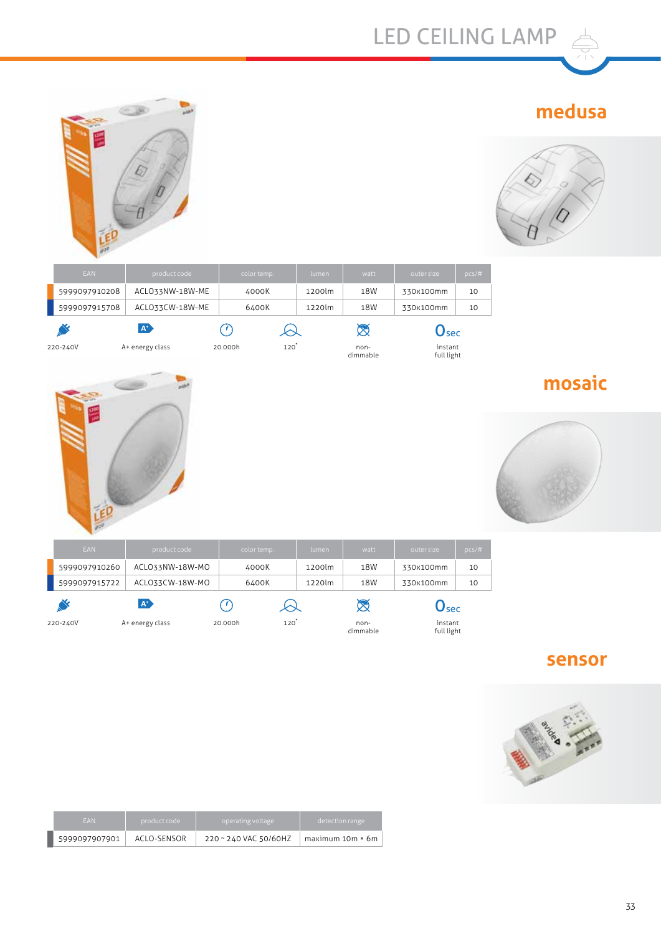## **medusa**



| <b>EAN</b>    | product code         | color temp. |                    | lumen  | watt             | outer size                | $pcs/\#$ |
|---------------|----------------------|-------------|--------------------|--------|------------------|---------------------------|----------|
| 5999097910208 | ACLO33NW-18W-ME      | 4000K       |                    | 1200lm | 18W              | 330x100mm                 | 10       |
| 5999097915708 | ACLO33CW-18W-ME      | 6400K       |                    | 1220lm | 18W              | 330x100mm                 | 10       |
|               | <b>A<sup>D</sup></b> | ( 7 )       | $\rightsquigarrow$ |        | $\boxtimes$      | $\mathsf{O}_\mathsf{sec}$ |          |
| 220-240V      | A+ energy class      | 20.000h     | $120^\circ$        |        | non-<br>dimmable | instant<br>full light     |          |



# **mosaic**



| <b>EAN</b>    | product code    | color temp. | lumen       | watt             | outer size                  | $pcs/\#$ |
|---------------|-----------------|-------------|-------------|------------------|-----------------------------|----------|
| 5999097910260 | ACLO33NW-18W-MO | 4000K       | 1200lm      | 18W              | 330x100mm                   | 10       |
| 5999097915722 | ACLO33CW-18W-MO | 6400K       | 1220lm      | 18W              | 330x100mm                   | 10       |
|               | $A^+$           |             |             |                  | $\mathbf{y}_{\mathsf{sec}}$ |          |
| 220-240V      | A+ energy class | 20.000h     | $120^\circ$ | non-<br>dimmable | instant<br>full light       |          |

#### **sensor**



| <b>FAN</b>    | product code | operating voltage     | detection range.   |
|---------------|--------------|-----------------------|--------------------|
| 5999097907901 | ACLO-SENSOR  | 220 ~ 240 VAC 50/60HZ | $maximum 10m * 6m$ |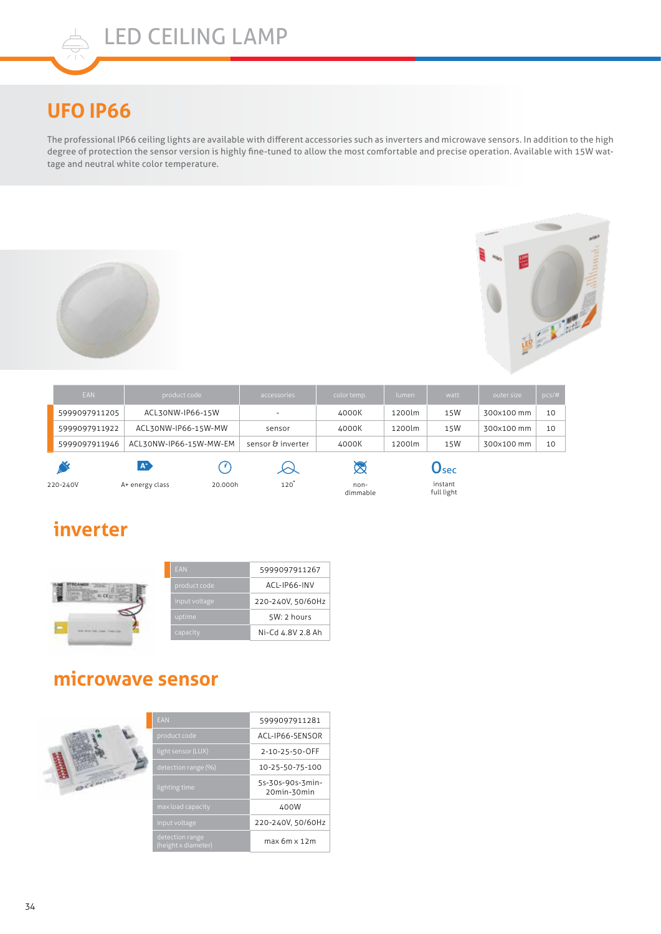## **UFO IP66**

The professional IP66 ceiling lights are available with different accessories such as inverters and microwave sensors. In addition to the high degree of protection the sensor version is highly fine-tuned to allow the most comfortable and precise operation. Available with 15W wattage and neutral white color temperature.





| <b>EAN</b>    | product code           |         | accessories       | color temp.      | lumen  | watt                  | outer size | pcs/# |
|---------------|------------------------|---------|-------------------|------------------|--------|-----------------------|------------|-------|
| 5999097911205 | ACL30NW-IP66-15W       |         |                   | 4000K            | 1200lm | 15W                   | 300x100 mm | 10    |
| 5999097911922 | ACL30NW-IP66-15W-MW    |         | sensor            | 4000K            | 1200lm | 15W                   | 300x100 mm | 10    |
| 5999097911946 | ACL30NW-IP66-15W-MW-EM |         | sensor & inverter | 4000K            | 1200lm | 15W                   | 300x100 mm | 10    |
|               | $A^*$                  | p na    | $\omega$          | X                |        | $\mathbf{U}$ sec      |            |       |
| 220-240V      | A+ energy class        | 20.000h | 120               | non-<br>dimmable |        | instant<br>full light |            |       |

#### **inverter**



#### **microwave sensor**



| <b>EAN</b>                             | 5999097911281                   |
|----------------------------------------|---------------------------------|
| product code                           | ACL-IP66-SENSOR                 |
| light sensor (LUX)                     | 2-10-25-50-OFF                  |
| detection range (%)                    | 10-25-50-75-100                 |
| lighting time                          | 5s-30s-90s-3min-<br>20min-30min |
| max load capacity                      | 400W                            |
| input voltage                          | 220-240V, 50/60Hz               |
| detection range<br>(height x diameter) | max 6m x 12m                    |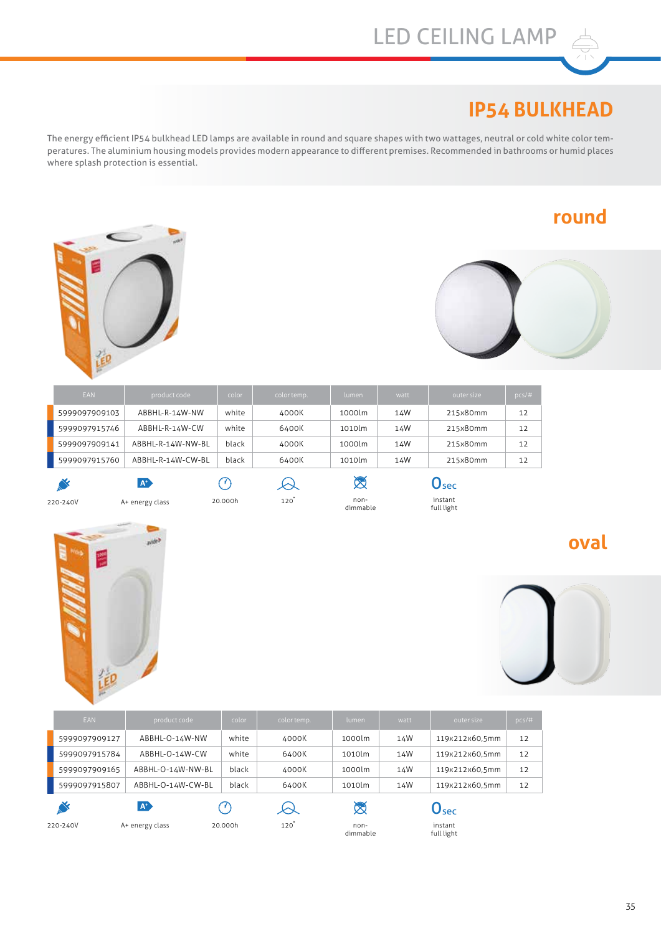### LED CEILING LAMP

#### **IP54 BULKHEAD**

The energy efficient IP54 bulkhead LED lamps are available in round and square shapes with two wattages, neutral or cold white color temperatures. The aluminium housing models provides modern appearance to different premises. Recommended in bathrooms or humid places where splash protection is essential.

#### **round**





| <b>EAN</b>    | product code      | color | color temp. | lumen  | watt | outer size | $pcs/\#$ |
|---------------|-------------------|-------|-------------|--------|------|------------|----------|
| 5999097909103 | ABBHL-R-14W-NW    | white | 4000K       | 1000lm | 14W  | 215x80mm   | 12       |
| 5999097915746 | ABBHL-R-14W-CW    | white | 6400K       | 1010lm | 14W  | 215x80mm   | 12       |
| 5999097909141 | ABBHL-R-14W-NW-BL | black | 4000K       | 1000lm | 14W  | 215x80mm   | 12       |
| 5999097915760 | ABBHL-R-14W-CW-BL | black | 6400K       | 1010lm | 14W  | 215x80mm   | 12       |
|               | $\mathbf{A}^*$    | - 7 3 | Ѡ           | ಜ      |      | Usec       |          |

泡

A+ energy class non-220-240V 20.000h 120�



instant full light

#### **oval**



| <b>EAN</b>    | product code      | color   | color temp. | lumen              | watt | outer size                | $pcs/\#$ |
|---------------|-------------------|---------|-------------|--------------------|------|---------------------------|----------|
| 5999097909127 | ABBHL-O-14W-NW    | white   | 4000K       | 1000lm             | 14W  | 119x212x60,5mm            | 12       |
| 5999097915784 | ABBHL-O-14W-CW    | white   | 6400K       | 1010lm             | 14W  | 119x212x60,5mm            | 12       |
| 5999097909165 | ABBHL-O-14W-NW-BL | black   | 4000K       | 1000lm             | 14W  | 119x212x60.5mm            | 12       |
| 5999097915807 | ABBHL-O-14W-CW-BL | black   | 6400K       | 1010lm             | 14W  | 119x212x60,5mm            | 12       |
|               | $A^*$             | : V)    | Ѡ           | $\otimes$          |      | $\mathbf{O}_\mathbf{sec}$ |          |
| 220-240V      | A+ energy class   | 20.000h | $120^\circ$ | $non-$<br>dimmable |      | instant<br>full light     |          |

35